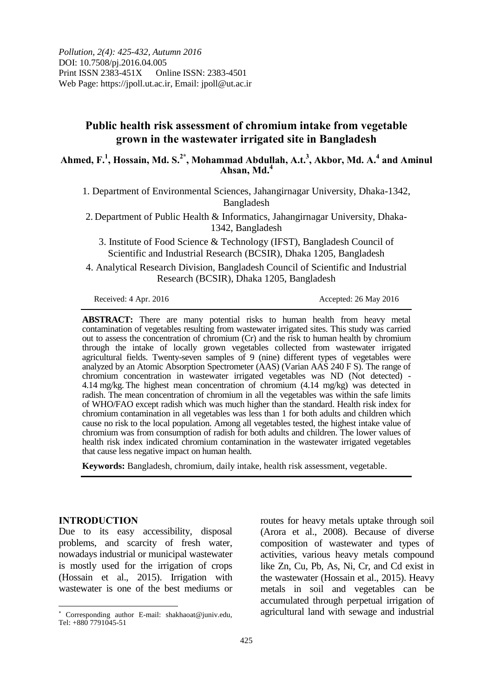# **Public health risk assessment of chromium intake from vegetable grown in the wastewater irrigated site in Bangladesh**

**Ahmed, F.<sup>1</sup> , Hossain, Md. S.2\* , Mohammad Abdullah, A.t.<sup>3</sup> , Akbor, Md. A.<sup>4</sup> and Aminul Ahsan, Md.<sup>4</sup>**

1. Department of Environmental Sciences, Jahangirnagar University, Dhaka-1342, Bangladesh

2. Department of Public Health & Informatics, Jahangirnagar University, Dhaka-1342, Bangladesh

3. Institute of Food Science & Technology (IFST), Bangladesh Council of Scientific and Industrial Research (BCSIR), Dhaka 1205, Bangladesh

4. Analytical Research Division, Bangladesh Council of Scientific and Industrial Research (BCSIR), Dhaka 1205, Bangladesh

Received: 4 Apr. 2016 <br>Received: 26 May 2016

**ABSTRACT:** There are many potential risks to human health from heavy metal contamination of vegetables resulting from wastewater irrigated sites. This study was carried out to assess the concentration of chromium (Cr) and the risk to human health by chromium through the intake of locally grown vegetables collected from wastewater irrigated agricultural fields. Twenty-seven samples of 9 (nine) different types of vegetables were analyzed by an Atomic Absorption Spectrometer (AAS) (Varian AAS 240 F S). The range of chromium concentration in wastewater irrigated vegetables was ND (Not detected) - 4.14 mg/kg. The highest mean concentration of chromium (4.14 mg/kg) was detected in radish. The mean concentration of chromium in all the vegetables was within the safe limits of WHO/FAO except radish which was much higher than the standard. Health risk index for chromium contamination in all vegetables was less than 1 for both adults and children which cause no risk to the local population. Among all vegetables tested, the highest intake value of chromium was from consumption of radish for both adults and children. The lower values of health risk index indicated chromium contamination in the wastewater irrigated vegetables that cause less negative impact on human health.

**Keywords:** Bangladesh, chromium, daily intake, health risk assessment, vegetable.

#### **INTRODUCTION**

 $\overline{a}$ 

Due to its easy accessibility, disposal problems, and scarcity of fresh water, nowadays industrial or municipal wastewater is mostly used for the irrigation of crops (Hossain et al., 2015). Irrigation with wastewater is one of the best mediums or

routes for heavy metals uptake through soil (Arora et al., 2008). Because of diverse composition of wastewater and types of activities, various heavy metals compound like Zn, Cu, Pb, As, Ni, Cr, and Cd exist in the wastewater (Hossain et al., 2015). Heavy metals in soil and vegetables can be accumulated through perpetual irrigation of agricultural land with sewage and industrial

 Corresponding author E-mail: shakhaoat@juniv.edu, Tel: +880 7791045-51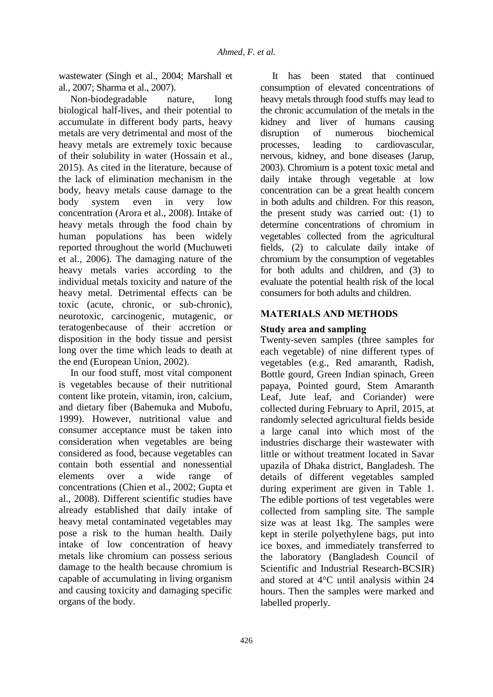wastewater (Singh et al., 2004; Marshall et al., 2007; Sharma et al., 2007).

Non-biodegradable nature, long biological half-lives, and their potential to accumulate in different body parts, heavy metals are very detrimental and most of the heavy metals are extremely toxic because of their solubility in water (Hossain et al., 2015). As cited in the literature, because of the lack of elimination mechanism in the body, heavy metals cause damage to the body system even in very low concentration (Arora et al., 2008). Intake of heavy metals through the food chain by human populations has been widely reported throughout the world (Muchuweti et al., 2006). The damaging nature of the heavy metals varies according to the individual metals toxicity and nature of the heavy metal. Detrimental effects can be toxic (acute, chronic, or sub-chronic), neurotoxic, carcinogenic, mutagenic, or teratogenbecause of their accretion or disposition in the body tissue and persist long over the time which leads to death at the end (European Union, 2002).

In our food stuff, most vital component is vegetables because of their nutritional content like protein, vitamin, iron, calcium, and dietary fiber (Bahemuka and Mubofu, 1999). However, nutritional value and consumer acceptance must be taken into consideration when vegetables are being considered as food, because vegetables can contain both essential and nonessential elements over a wide range of concentrations (Chien et al., 2002; Gupta et al., 2008). Different scientific studies have already established that daily intake of heavy metal contaminated vegetables may pose a risk to the human health. Daily intake of low concentration of heavy metals like chromium can possess serious damage to the health because chromium is capable of accumulating in living organism and causing toxicity and damaging specific organs of the body.

It has been stated that continued consumption of elevated concentrations of heavy metals through food stuffs may lead to the chronic accumulation of the metals in the kidney and liver of humans causing disruption of numerous biochemical processes, leading to cardiovascular, nervous, kidney, and bone diseases (Jarup, 2003). Chromium is a potent toxic metal and daily intake through vegetable at low concentration can be a great health concern in both adults and children. For this reason, the present study was carried out: (1) to determine concentrations of chromium in vegetables collected from the agricultural fields, (2) to calculate daily intake of chromium by the consumption of vegetables for both adults and children, and (3) to evaluate the potential health risk of the local consumers for both adults and children.

## **MATERIALS AND METHODS**

## **Study area and sampling**

Twenty-seven samples (three samples for each vegetable) of nine different types of vegetables (e.g., Red amaranth, Radish, Bottle gourd, Green Indian spinach, Green papaya, Pointed gourd, Stem Amaranth Leaf, Jute leaf, and Coriander) were collected during February to April, 2015, at randomly selected agricultural fields beside a large canal into which most of the industries discharge their wastewater with little or without treatment located in Savar upazila of Dhaka district, Bangladesh. The details of different vegetables sampled during experiment are given in Table 1. The edible portions of test vegetables were collected from sampling site. The sample size was at least 1kg. The samples were kept in sterile polyethylene bags, put into ice boxes, and immediately transferred to the laboratory (Bangladesh Council of Scientific and Industrial Research-BCSIR) and stored at 4°C until analysis within 24 hours. Then the samples were marked and labelled properly.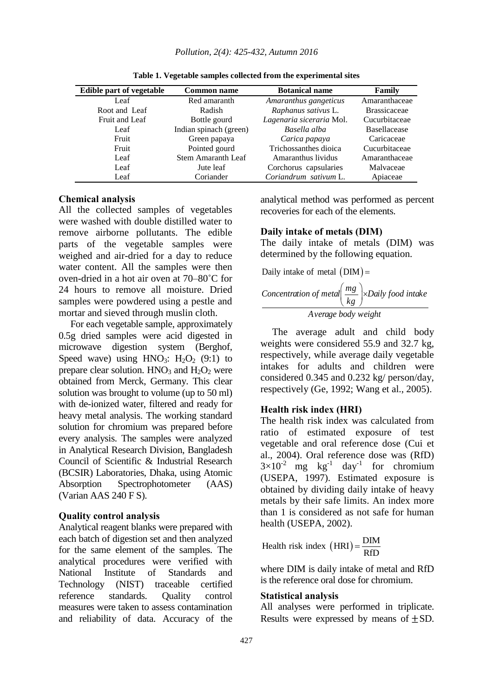| Edible part of vegetable | <b>Common name</b>     | <b>Botanical name</b>    | Family              |
|--------------------------|------------------------|--------------------------|---------------------|
| Leaf                     | Red amaranth           | Amaranthus gangeticus    | Amaranthaceae       |
| Root and Leaf            | Radish                 | Raphanus sativus L.      | <b>Brassicaceae</b> |
| Fruit and Leaf           | Bottle gourd           | Lagenaria siceraria Mol. | Cucurbitaceae       |
| Leaf                     | Indian spinach (green) | Basella alba             | <b>Basellacease</b> |
| Fruit                    | Green papaya           | Carica papaya            | Caricaceae          |
| Fruit                    | Pointed gourd          | Trichossanthes dioica    | Cucurbitaceae       |
| Leaf                     | Stem Amaranth Leaf     | Amaranthus lividus       | Amaranthaceae       |
| Leaf                     | Jute leaf              | Corchorus capsularies    | Malvaceae           |
| Leaf                     | Coriander              | Coriandrum sativum L.    | Apiaceae            |

**Table 1. Vegetable samples collected from the experimental sites**

### **Chemical analysis**

All the collected samples of vegetables were washed with double distilled water to remove airborne pollutants. The edible parts of the vegetable samples were weighed and air-dried for a day to reduce water content. All the samples were then oven-dried in a hot air oven at 70–80˚C for 24 hours to remove all moisture. Dried samples were powdered using a pestle and mortar and sieved through muslin cloth.

For each vegetable sample, approximately 0.5g dried samples were acid digested in microwave digestion system (Berghof, Speed wave) using  $HNO_3$ :  $H_2O_2$  (9:1) to prepare clear solution.  $HNO<sub>3</sub>$  and  $H<sub>2</sub>O<sub>2</sub>$  were obtained from Merck, Germany. This clear solution was brought to volume (up to 50 ml) with de-ionized water, filtered and ready for heavy metal analysis. The working standard solution for chromium was prepared before every analysis. The samples were analyzed in Analytical Research Division, Bangladesh Council of Scientific & Industrial Research (BCSIR) Laboratories, Dhaka, using Atomic Absorption Spectrophotometer (AAS) (Varian AAS 240 F S).

#### **Quality control analysis**

Analytical reagent blanks were prepared with each batch of digestion set and then analyzed for the same element of the samples. The analytical procedures were verified with National Institute of Standards and Technology (NIST) traceable certified reference standards. Quality control measures were taken to assess contamination and reliability of data. Accuracy of the

analytical method was performed as percent recoveries for each of the elements.

#### **Daily intake of metals (DIM)**

The daily intake of metals (DIM) was

determined by the following equation.  
Daily intake of metal (DIM) =  
*Concentration of metal* 
$$
\left(\frac{mg}{kg}\right)
$$
 × Daily food intake  
Average body weight

The average adult and child body weights were considered 55.9 and 32.7 kg, respectively, while average daily vegetable intakes for adults and children were considered 0.345 and 0.232 kg/ person/day, respectively (Ge, 1992; Wang et al., 2005).

### **Health risk index (HRI)**

The health risk index was calculated from ratio of estimated exposure of test vegetable and oral reference dose (Cui et al., 2004). Oral reference dose was (RfD)  $3\times10^{-2}$  mg kg<sup>-1</sup> day<sup>-1</sup> for chromium (USEPA, 1997). Estimated exposure is obtained by dividing daily intake of heavy metals by their safe limits. An index more than 1 is considered as not safe for human health (USEPA, 2002).

Health risk index  $(HRI) = \frac{DIM}{DIR}$ RfD  $=$ 

where DIM is daily intake of metal and RfD is the reference oral dose for chromium.

#### **Statistical analysis**

All analyses were performed in triplicate. Results were expressed by means of  $\pm$ SD.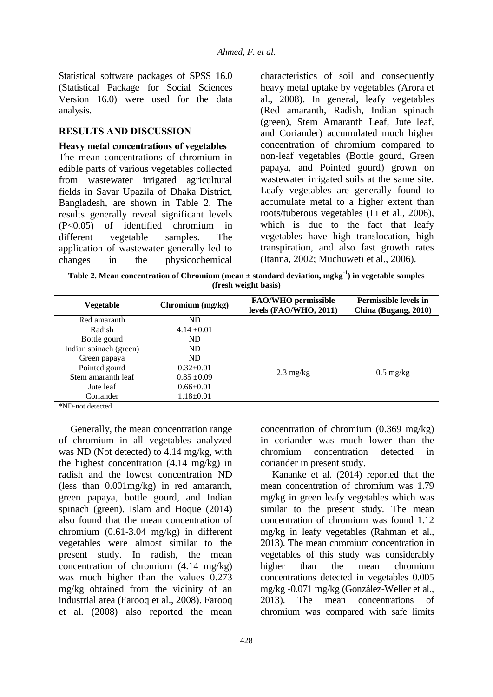Statistical software packages of SPSS 16.0 (Statistical Package for Social Sciences Version 16.0) were used for the data analysis.

## **RESULTS AND DISCUSSION**

#### **Heavy metal concentrations of vegetables**

The mean concentrations of chromium in edible parts of various vegetables collected from wastewater irrigated agricultural fields in Savar Upazila of Dhaka District, Bangladesh, are shown in Table 2. The results generally reveal significant levels (P<0.05) of identified chromium in different vegetable samples. The application of wastewater generally led to changes in the physicochemical

characteristics of soil and consequently heavy metal uptake by vegetables (Arora et al., 2008). In general, leafy vegetables (Red amaranth, Radish, Indian spinach (green), Stem Amaranth Leaf, Jute leaf, and Coriander) accumulated much higher concentration of chromium compared to non-leaf vegetables (Bottle gourd, Green papaya, and Pointed gourd) grown on wastewater irrigated soils at the same site. Leafy vegetables are generally found to accumulate metal to a higher extent than roots/tuberous vegetables (Li et al., 2006), which is due to the fact that leafy vegetables have high translocation, high transpiration, and also fast growth rates (Itanna, 2002; Muchuweti et al., 2006).

**Table 2. Mean concentration of Chromium (mean ± standard deviation, mgkg-1 ) in vegetable samples (fresh weight basis)**

| Vegetable              | Chromium (mg/kg) | FAO/WHO permissible<br>levels (FAO/WHO, 2011) | <b>Permissible levels in</b><br>China (Bugang, 2010) |
|------------------------|------------------|-----------------------------------------------|------------------------------------------------------|
| Red amaranth           | ND.              |                                               |                                                      |
| Radish                 | $4.14 \pm 0.01$  |                                               |                                                      |
| Bottle gourd           | ND               |                                               |                                                      |
| Indian spinach (green) | ND               |                                               |                                                      |
| Green papaya           | ND.              |                                               |                                                      |
| Pointed gourd          | $0.32 \pm 0.01$  |                                               |                                                      |
| Stem amaranth leaf     | $0.85 \pm 0.09$  | $2.3 \text{ mg/kg}$                           | $0.5 \text{ mg/kg}$                                  |
| Jute leaf              | $0.66 \pm 0.01$  |                                               |                                                      |
| Coriander              | $1.18 \pm 0.01$  |                                               |                                                      |
|                        |                  |                                               |                                                      |

\*ND-not detected

Generally, the mean concentration range of chromium in all vegetables analyzed was ND (Not detected) to 4.14 mg/kg, with the highest concentration (4.14 mg/kg) in radish and the lowest concentration ND (less than 0.001mg/kg) in red amaranth, green papaya, bottle gourd, and Indian spinach (green). Islam and Hoque (2014) also found that the mean concentration of chromium (0.61-3.04 mg/kg) in different vegetables were almost similar to the present study. In radish, the mean concentration of chromium (4.14 mg/kg) was much higher than the values 0.273 mg/kg obtained from the vicinity of an industrial area (Farooq et al., 2008). Farooq et al. (2008) also reported the mean

concentration of chromium (0.369 mg/kg) in coriander was much lower than the chromium concentration detected in coriander in present study.

Kananke et al. (2014) reported that the mean concentration of chromium was 1.79 mg/kg in green leafy vegetables which was similar to the present study. The mean concentration of chromium was found 1.12 mg/kg in leafy vegetables (Rahman et al., 2013). The mean chromium concentration in vegetables of this study was considerably higher than the mean chromium concentrations detected in vegetables 0.005 mg/kg -0.071 mg/kg (González-Weller et al., 2013). The mean concentrations of chromium was compared with safe limits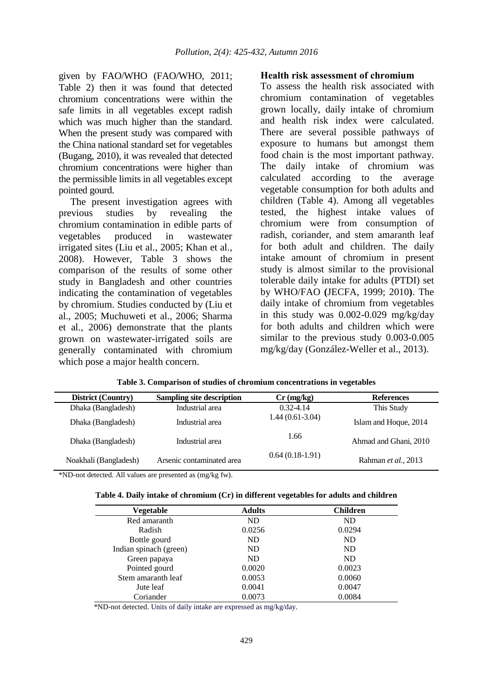given by FAO/WHO (FAO/WHO, 2011; Table 2) then it was found that detected chromium concentrations were within the safe limits in all vegetables except radish which was much higher than the standard. When the present study was compared with the China national standard set for vegetables (Bugang, 2010), it was revealed that detected chromium concentrations were higher than the permissible limits in all vegetables except pointed gourd.

The present investigation agrees with previous studies by revealing the chromium contamination in edible parts of vegetables produced in wastewater irrigated sites (Liu et al., 2005; Khan et al., 2008). However, Table 3 shows the comparison of the results of some other study in Bangladesh and other countries indicating the contamination of vegetables by chromium. Studies conducted by (Liu et al., 2005; Muchuweti et al., 2006; Sharma et al., 2006) demonstrate that the plants grown on wastewater-irrigated soils are generally contaminated with chromium which pose a major health concern.

## **Health risk assessment of chromium**

To assess the health risk associated with chromium contamination of vegetables grown locally, daily intake of chromium and health risk index were calculated. There are several possible pathways of exposure to humans but amongst them food chain is the most important pathway. The daily intake of chromium was calculated according to the average vegetable consumption for both adults and children (Table 4). Among all vegetables tested, the highest intake values of chromium were from consumption of radish, coriander, and stem amaranth leaf for both adult and children. The daily intake amount of chromium in present study is almost similar to the provisional tolerable daily intake for adults (PTDI) set by WHO/FAO **(**JECFA, 1999; 2010**)**. The daily intake of chromium from vegetables in this study was 0.002-0.029 mg/kg/day for both adults and children which were similar to the previous study 0.003-0.005 mg/kg/day (González-Weller et al., 2013).

| <b>District (Country)</b> | Sampling site description | $Cr$ (mg/kg)      | <b>References</b>     |
|---------------------------|---------------------------|-------------------|-----------------------|
| Dhaka (Bangladesh)        | Industrial area           | $0.32 - 4.14$     | This Study            |
| Dhaka (Bangladesh)        | Industrial area           | $1.44(0.61-3.04)$ | Islam and Hoque, 2014 |
| Dhaka (Bangladesh)        | Industrial area           | 1.66              | Ahmad and Ghani, 2010 |
| Noakhali (Bangladesh)     | Arsenic contaminated area | $0.64(0.18-1.91)$ | Rahman et al., 2013   |

| Table 3. Comparison of studies of chromium concentrations in vegetables |  |  |  |
|-------------------------------------------------------------------------|--|--|--|
|-------------------------------------------------------------------------|--|--|--|

\*ND-not detected. All values are presented as (mg/kg fw).

| Table 4. Daily intake of chromium (Cr) in different vegetables for adults and children |  |
|----------------------------------------------------------------------------------------|--|
|----------------------------------------------------------------------------------------|--|

| <b>Vegetable</b>       | <b>Adults</b> | <b>Children</b> |
|------------------------|---------------|-----------------|
| Red amaranth           | ND            | ND              |
| Radish                 | 0.0256        | 0.0294          |
| Bottle gourd           | ND            | <b>ND</b>       |
| Indian spinach (green) | ND.           | <b>ND</b>       |
| Green papaya           | ND.           | <b>ND</b>       |
| Pointed gourd          | 0.0020        | 0.0023          |
| Stem amaranth leaf     | 0.0053        | 0.0060          |
| Jute leaf              | 0.0041        | 0.0047          |
| Coriander              | 0.0073        | 0.0084          |

\*ND-not detected. Units of daily intake are expressed as mg/kg/day.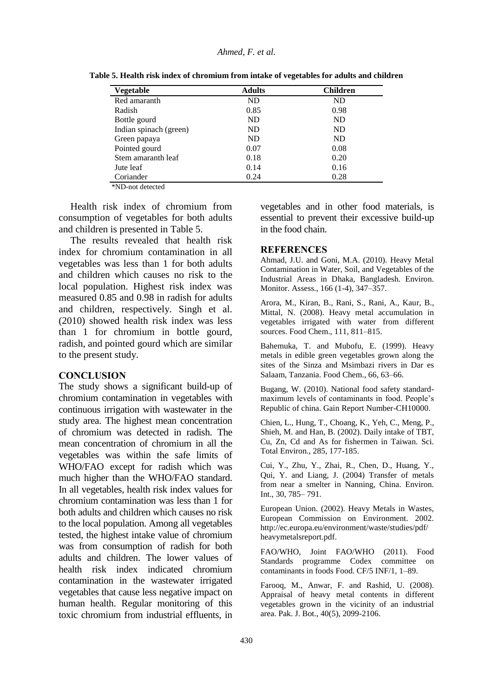#### *Ahmed, F. et al.*

| Vegetable              | <b>Adults</b> | <b>Children</b> |
|------------------------|---------------|-----------------|
| Red amaranth           | ND.           | ND              |
| Radish                 | 0.85          | 0.98            |
| Bottle gourd           | ND.           | ND              |
| Indian spinach (green) | ND.           | ND              |
| Green papaya           | ND.           | ND              |
| Pointed gourd          | 0.07          | 0.08            |
| Stem amaranth leaf     | 0.18          | 0.20            |
| Jute leaf              | 0.14          | 0.16            |
| Coriander              | 0.24          | 0.28            |

**Table 5. Health risk index of chromium from intake of vegetables for adults and children**

\*ND-not detected

Health risk index of chromium from consumption of vegetables for both adults and children is presented in Table 5.

The results revealed that health risk index for chromium contamination in all vegetables was less than 1 for both adults and children which causes no risk to the local population. Highest risk index was measured 0.85 and 0.98 in radish for adults and children, respectively. Singh et al. (2010) showed health risk index was less than 1 for chromium in bottle gourd, radish, and pointed gourd which are similar to the present study.

### **CONCLUSION**

The study shows a significant build-up of chromium contamination in vegetables with continuous irrigation with wastewater in the study area. The highest mean concentration of chromium was detected in radish. The mean concentration of chromium in all the vegetables was within the safe limits of WHO/FAO except for radish which was much higher than the WHO/FAO standard. In all vegetables, health risk index values for chromium contamination was less than 1 for both adults and children which causes no risk to the local population. Among all vegetables tested, the highest intake value of chromium was from consumption of radish for both adults and children. The lower values of health risk index indicated chromium contamination in the wastewater irrigated vegetables that cause less negative impact on human health. Regular monitoring of this toxic chromium from industrial effluents, in

vegetables and in other food materials, is essential to prevent their excessive build-up in the food chain.

#### **REFERENCES**

Ahmad, J.U. and Goni, M.A. (2010). Heavy Metal Contamination in Water, Soil, and Vegetables of the Industrial Areas in Dhaka, Bangladesh. Environ. Monitor. Assess., 166 (1-4), 347–357.

Arora, M., Kiran, B., Rani, S., Rani, A., Kaur, B., Mittal, N. (2008). Heavy metal accumulation in vegetables irrigated with water from different sources. Food Chem., 111, 811–815.

Bahemuka, T. and Mubofu, E. (1999). Heavy metals in edible green vegetables grown along the sites of the Sinza and Msimbazi rivers in Dar es Salaam, Tanzania. Food Chem., 66, 63–66.

Bugang, W. (2010). National food safety standardmaximum levels of contaminants in food. People's Republic of china. Gain Report Number-CH10000.

Chien, L., Hung, T., Choang, K., Yeh, C., Meng, P., Shieh, M. and Han, B. (2002). Daily intake of TBT, Cu, Zn, Cd and As for fishermen in Taiwan. Sci. Total Environ., 285, 177-185.

Cui, Y., Zhu, Y., Zhai, R., Chen, D., Huang, Y., Qui, Y. and Liang, J. (2004) Transfer of metals from near a smelter in Nanning, China. Environ. Int., 30, 785– 791.

European Union. (2002). Heavy Metals in Wastes, European Commission on Environment. 2002. http://ec.europa.eu/environment/waste/studies/pdf/ heavymetalsreport.pdf.

FAO/WHO, Joint FAO/WHO (2011). Food Standards programme Codex committee on contaminants in foods Food. CF/5 INF/1, 1–89.

Farooq, M., Anwar, F. and Rashid, U. (2008). Appraisal of heavy metal contents in different vegetables grown in the vicinity of an industrial area. Pak. J. Bot., 40(5), 2099-2106.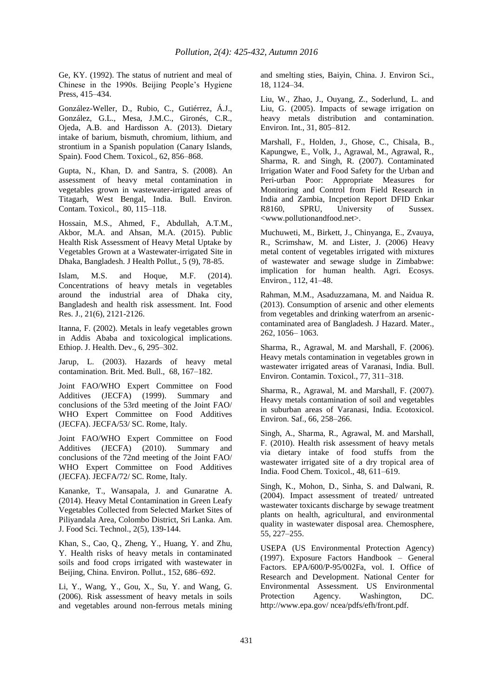Ge, KY. (1992). The status of nutrient and meal of Chinese in the 1990s. Beijing People's Hygiene Press, 415–434.

González-Weller, D., Rubio, C., Gutiérrez, Á.J., González, G.L., Mesa, J.M.C., Gironés, C.R., Ojeda, A.B. and Hardisson A. (2013). Dietary intake of barium, bismuth, chromium, lithium, and strontium in a Spanish population (Canary Islands, Spain). Food Chem. Toxicol., 62, 856–868.

Gupta, N., Khan, D. and Santra, S. (2008). An assessment of heavy metal contamination in vegetables grown in wastewater-irrigated areas of Titagarh, West Bengal, India. Bull. Environ. Contam. Toxicol., 80, 115–118.

Hossain, M.S., Ahmed, F., Abdullah, A.T.M., Akbor, M.A. and Ahsan, M.A. (2015). Public Health Risk Assessment of Heavy Metal Uptake by Vegetables Grown at a Wastewater-irrigated Site in Dhaka, Bangladesh. J Health Pollut., 5 (9), 78-85.

Islam, M.S. and Hoque, M.F. (2014). Concentrations of heavy metals in vegetables around the industrial area of Dhaka city, Bangladesh and health risk assessment. Int. Food Res. J., 21(6), 2121-2126.

Itanna, F. (2002). Metals in leafy vegetables grown in Addis Ababa and toxicological implications. Ethiop. J. Health. Dev., 6, 295–302.

Jarup, L. (2003). Hazards of heavy metal contamination. Brit. Med. Bull., 68, 167–182.

Joint FAO/WHO Expert Committee on Food Additives (JECFA) (1999). Summary and conclusions of the 53rd meeting of the Joint FAO/ WHO Expert Committee on Food Additives (JECFA). JECFA/53/ SC. Rome, Italy.

Joint FAO/WHO Expert Committee on Food Additives (JECFA) (2010). Summary and conclusions of the 72nd meeting of the Joint FAO/ WHO Expert Committee on Food Additives (JECFA). JECFA/72/ SC. Rome, Italy.

Kananke, T., Wansapala, J. and Gunaratne A. (2014). Heavy Metal Contamination in Green Leafy Vegetables Collected from Selected Market Sites of Piliyandala Area, Colombo District, Sri Lanka. Am. J. Food Sci. Technol., 2(5), 139-144.

Khan, S., Cao, Q., Zheng, Y., Huang, Y. and Zhu, Y. Health risks of heavy metals in contaminated soils and food crops irrigated with wastewater in Beijing, China. Environ. Pollut., 152, 686–692.

Li, Y., Wang, Y., Gou, X., Su, Y. and Wang, G. (2006). Risk assessment of heavy metals in soils and vegetables around non-ferrous metals mining and smelting sties, Baiyin, China. J. Environ Sci., 18, 1124–34.

Liu, W., Zhao, J., Ouyang, Z., Soderlund, L. and Liu, G. (2005). Impacts of sewage irrigation on heavy metals distribution and contamination. Environ. Int., 31, 805–812.

Marshall, F., Holden, J., Ghose, C., Chisala, B., Kapungwe, E., Volk, J., Agrawal, M., Agrawal, R., Sharma, R. and Singh, R. (2007). Contaminated Irrigation Water and Food Safety for the Urban and Peri-urban Poor: Appropriate Measures for Monitoring and Control from Field Research in India and Zambia, Incpetion Report DFID Enkar R8160, SPRU, University of Sussex. <www.pollutionandfood.net>.

Muchuweti, M., Birkett, J., Chinyanga, E., Zvauya, R., Scrimshaw, M. and Lister, J. (2006) Heavy metal content of vegetables irrigated with mixtures of wastewater and sewage sludge in Zimbabwe: implication for human health. Agri. Ecosys. Environ., 112, 41–48.

Rahman, M.M., Asaduzzamana, M. and Naidua R. (2013). Consumption of arsenic and other elements from vegetables and drinking waterfrom an arseniccontaminated area of Bangladesh. J Hazard. Mater., 262, 1056– 1063.

Sharma, R., Agrawal, M. and Marshall, F. (2006). Heavy metals contamination in vegetables grown in wastewater irrigated areas of Varanasi, India. Bull. Environ. Contamin. Toxicol., 77, 311–318.

Sharma, R., Agrawal, M. and Marshall, F. (2007). Heavy metals contamination of soil and vegetables in suburban areas of Varanasi, India. Ecotoxicol. Environ. Saf., 66, 258–266.

Singh, A., Sharma, R., Agrawal, M. and Marshall, F. (2010). Health risk assessment of heavy metals via dietary intake of food stuffs from the wastewater irrigated site of a dry tropical area of India. Food Chem. Toxicol., 48, 611–619.

Singh, K., Mohon, D., Sinha, S. and Dalwani, R. (2004). Impact assessment of treated/ untreated wastewater toxicants discharge by sewage treatment plants on health, agricultural, and environmental quality in wastewater disposal area. Chemosphere, 55, 227–255.

USEPA (US Environmental Protection Agency) (1997). Exposure Factors Handbook – General Factors. EPA/600/P-95/002Fa, vol. I. Office of Research and Development. National Center for Environmental Assessment. US Environmental Protection Agency. Washington, DC. http://www.epa.gov/ ncea/pdfs/efh/front.pdf.